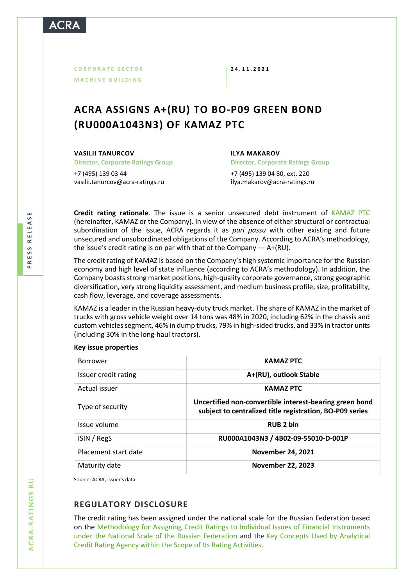**C O R P O R A T E S E C T O R M A C H I N E B U I L D I N G**

**2 4 . 1 1 . 2 0 2 1**

# **ACRA ASSIGNS A+(RU) TO BO-P09 GREEN BOND (RU000A1043N3) OF KAMAZ PTC**

**VASILII TANURCOV**

**Director, Corporate Ratings Group**

+7 (495) 139 03 44 [vasilii.tanurcov@acra-ratings.ru](mailto:vasilii.tanurcov@acra-ratings.ru) **ILYA MAKAROV Director, Corporate Ratings Group** +7 (495) 139 04 80, ext. 220 i[lya.makarov@acra-ratings.ru](mailto:ilya.makarov@acra-ratings.ru)

**Credit rating rationale**. The issue is a senior unsecured debt instrument of [KAMAZ PTC](https://www.acra-ratings.ru/ratings/issuers/141/?lang=en) (hereinafter, KAMAZ or the Company). In view of the absence of either structural or contractual subordination of the issue, ACRA regards it as *pari passu* with other existing and future unsecured and unsubordinated obligations of the Company. According to ACRA's methodology, the issue's credit rating is on par with that of the Company — A+(RU).

The credit rating of KAMAZ is based on the Company's high systemic importance for the Russian economy and high level of state influence (according to ACRA's methodology). In addition, the Company boasts strong market positions, high-quality corporate governance, strong geographic diversification, very strong liquidity assessment, and medium business profile, size, profitability, cash flow, leverage, and coverage assessments.

KAMAZ is a leader in the Russian heavy-duty truck market. The share of KAMAZ in the market of trucks with gross vehicle weight over 14 tons was 48% in 2020, including 62% in the chassis and custom vehicles segment, 46% in dump trucks, 79% in high-sided trucks, and 33% in tractor units (including 30% in the long-haul tractors).

### **Key issue properties**

| <b>Borrower</b>      | <b>KAMAZ PTC</b>                                                                                                    |
|----------------------|---------------------------------------------------------------------------------------------------------------------|
| Issuer credit rating | A+(RU), outlook Stable                                                                                              |
| Actual issuer        | <b>KAMAZ PTC</b>                                                                                                    |
| Type of security     | Uncertified non-convertible interest-bearing green bond<br>subject to centralized title registration, BO-P09 series |
| Issue volume         | RUB <sub>2</sub> bln                                                                                                |
| ISIN / RegS          | RU000A1043N3 / 4B02-09-55010-D-001P                                                                                 |
| Placement start date | <b>November 24, 2021</b>                                                                                            |
| Maturity date        | <b>November 22, 2023</b>                                                                                            |

Source: ACRA, issuer's data

## **REGULATORY DISCLOSURE**

The credit rating has been assigned under the national scale for the Russian Federation based on the [Methodology for Assigning Credit Ratings to Individual Issues of Financial Instruments](https://www.acra-ratings.ru/criteria/381/?lang=en)  [under the National Scale of the Russian Federation](https://www.acra-ratings.ru/criteria/381/?lang=en) and the [Key Concepts Used by Analytical](https://www.acra-ratings.ru/criteria/80/?lang=en)  [Credit Rating Agency within the Scope of Its Rating Activities.](https://www.acra-ratings.ru/criteria/80/?lang=en)

 $\Delta$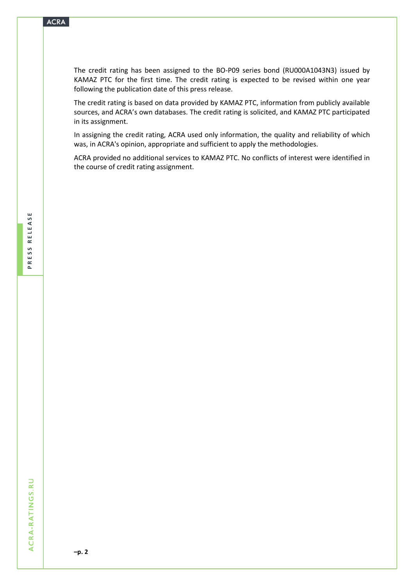The credit rating has been assigned to the BO-P09 series bond (RU000A1043N3) issued by KAMAZ PTC for the first time. The credit rating is expected to be revised within one year following the publication date of this press release.

The credit rating is based on data provided by KAMAZ PTC, information from publicly available sources, and ACRA's own databases. The credit rating is solicited, and KAMAZ PTC participated in its assignment.

In assigning the credit rating, ACRA used only information, the quality and reliability of which was, in ACRA's opinion, appropriate and sufficient to apply the methodologies.

ACRA provided no additional services to KAMAZ PTC. No conflicts of interest were identified in the course of credit rating assignment.